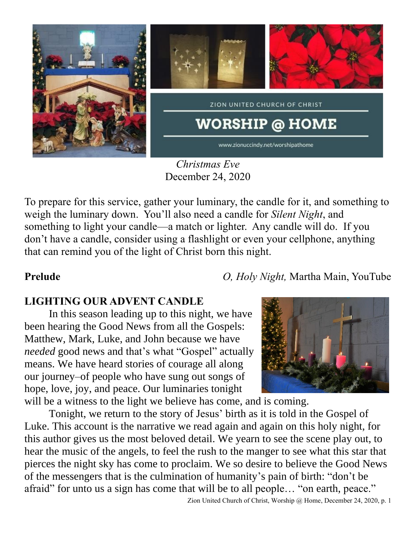

*Christmas Eve* December 24, 2020

To prepare for this service, gather your luminary, the candle for it, and something to weigh the luminary down. You'll also need a candle for *Silent Night*, and something to light your candle—a match or lighter. Any candle will do. If you don't have a candle, consider using a flashlight or even your cellphone, anything that can remind you of the light of Christ born this night.

**Prelude** *O, Holy Night,* Martha Main, YouTube

# **LIGHTING OUR ADVENT CANDLE**

In this season leading up to this night, we have been hearing the Good News from all the Gospels: Matthew, Mark, Luke, and John because we have *needed* good news and that's what "Gospel" actually means. We have heard stories of courage all along our journey–of people who have sung out songs of hope, love, joy, and peace. Our luminaries tonight will be a witness to the light we believe has come, and is coming.

Tonight, we return to the story of Jesus' birth as it is told in the Gospel of Luke. This account is the narrative we read again and again on this holy night, for this author gives us the most beloved detail. We yearn to see the scene play out, to hear the music of the angels, to feel the rush to the manger to see what this star that pierces the night sky has come to proclaim. We so desire to believe the Good News of the messengers that is the culmination of humanity's pain of birth: "don't be afraid" for unto us a sign has come that will be to all people… "on earth, peace."



Zion United Church of Christ, Worship @ Home, December 24, 2020, p. 1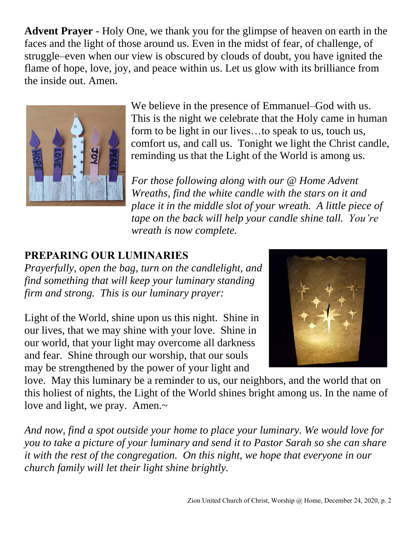**Advent Prayer** - Holy One, we thank you for the glimpse of heaven on earth in the faces and the light of those around us. Even in the midst of fear, of challenge, of struggle–even when our view is obscured by clouds of doubt, you have ignited the flame of hope, love, joy, and peace within us. Let us glow with its brilliance from the inside out. Amen.



We believe in the presence of Emmanuel–God with us. This is the night we celebrate that the Holy came in human form to be light in our lives…to speak to us, touch us, comfort us, and call us. Tonight we light the Christ candle, reminding us that the Light of the World is among us.

*For those following along with our @ Home Advent Wreaths, find the white candle with the stars on it and place it in the middle slot of your wreath. A little piece of tape on the back will help your candle shine tall. You're wreath is now complete.*

# **PREPARING OUR LUMINARIES**

*Prayerfully, open the bag, turn on the candlelight, and find something that will keep your luminary standing firm and strong. This is our luminary prayer:*

Light of the World, shine upon us this night. Shine in our lives, that we may shine with your love. Shine in our world, that your light may overcome all darkness and fear. Shine through our worship, that our souls may be strengthened by the power of your light and



love. May this luminary be a reminder to us, our neighbors, and the world that on this holiest of nights, the Light of the World shines bright among us. In the name of love and light, we pray. Amen.~

*And now, find a spot outside your home to place your luminary. We would love for you to take a picture of your luminary and send it to Pastor Sarah so she can share it with the rest of the congregation. On this night, we hope that everyone in our church family will let their light shine brightly.*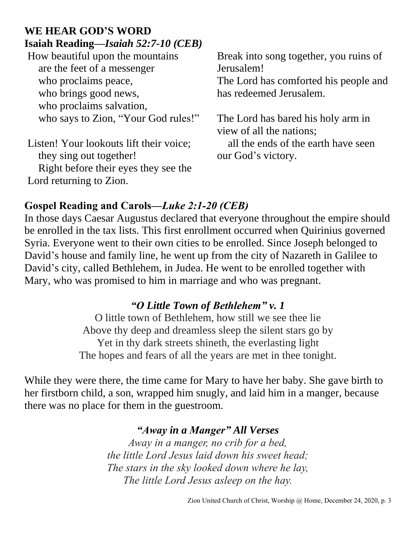# **WE HEAR GOD'S WORD Isaiah Reading—***Isaiah 52:7-10 (CEB)*

How beautiful upon the mountains are the feet of a messenger who proclaims peace, who brings good news, who proclaims salvation, who says to Zion, "Your God rules!"

Listen! Your lookouts lift their voice; they sing out together! Right before their eyes they see the Lord returning to Zion.

Break into song together, you ruins of Jerusalem!

The Lord has comforted his people and has redeemed Jerusalem.

The Lord has bared his holy arm in view of all the nations;

 all the ends of the earth have seen our God's victory.

# **Gospel Reading and Carols—***Luke 2:1-20 (CEB)*

In those days Caesar Augustus declared that everyone throughout the empire should be enrolled in the tax lists. This first enrollment occurred when Quirinius governed Syria. Everyone went to their own cities to be enrolled. Since Joseph belonged to David's house and family line, he went up from the city of Nazareth in Galilee to David's city, called Bethlehem, in Judea. He went to be enrolled together with Mary, who was promised to him in marriage and who was pregnant.

## *"O Little Town of Bethlehem" v. 1*

O little town of Bethlehem, how still we see thee lie Above thy deep and dreamless sleep the silent stars go by Yet in thy dark streets shineth, the everlasting light The hopes and fears of all the years are met in thee tonight.

While they were there, the time came for Mary to have her baby. She gave birth to her firstborn child, a son, wrapped him snugly, and laid him in a manger, because there was no place for them in the guestroom.

## *"Away in a Manger" All Verses*

*Away in a manger, no crib for a bed, the little Lord Jesus laid down his sweet head; The stars in the sky looked down where he lay, The little Lord Jesus asleep on the hay.*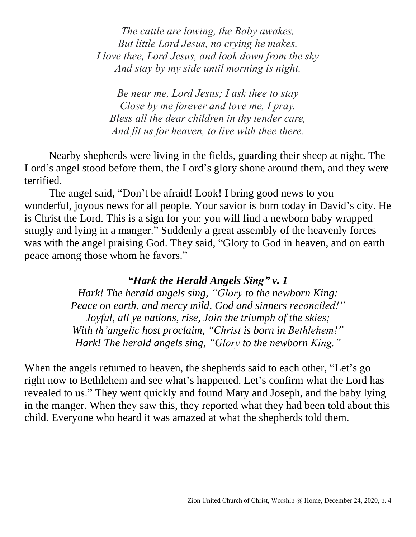*The cattle are lowing, the Baby awakes, But little Lord Jesus, no crying he makes. I love thee, Lord Jesus, and look down from the sky And stay by my side until morning is night.*

*Be near me, Lord Jesus; I ask thee to stay Close by me forever and love me, I pray. Bless all the dear children in thy tender care, And fit us for heaven, to live with thee there.*

Nearby shepherds were living in the fields, guarding their sheep at night. The Lord's angel stood before them, the Lord's glory shone around them, and they were terrified.

The angel said, "Don't be afraid! Look! I bring good news to you wonderful, joyous news for all people. Your savior is born today in David's city. He is Christ the Lord. This is a sign for you: you will find a newborn baby wrapped snugly and lying in a manger." Suddenly a great assembly of the heavenly forces was with the angel praising God. They said, "Glory to God in heaven, and on earth peace among those whom he favors."

### *"Hark the Herald Angels Sing" v. 1*

*Hark! The herald angels sing, "Glory to the newborn King: Peace on earth, and mercy mild, God and sinners reconciled!" Joyful, all ye nations, rise, Join the triumph of the skies; With th'angelic host proclaim, "Christ is born in Bethlehem!" Hark! The herald angels sing, "Glory to the newborn King."*

When the angels returned to heaven, the shepherds said to each other, "Let's go right now to Bethlehem and see what's happened. Let's confirm what the Lord has revealed to us." They went quickly and found Mary and Joseph, and the baby lying in the manger. When they saw this, they reported what they had been told about this child. Everyone who heard it was amazed at what the shepherds told them.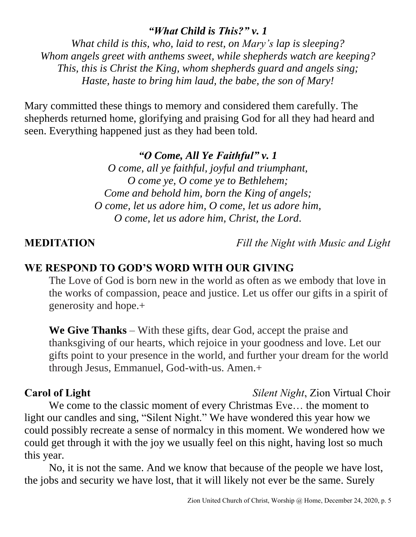### *"What Child is This?" v. 1*

*What child is this, who, laid to rest, on Mary's lap is sleeping? Whom angels greet with anthems sweet, while shepherds watch are keeping? This, this is Christ the King, whom shepherds guard and angels sing; Haste, haste to bring him laud, the babe, the son of Mary!*

Mary committed these things to memory and considered them carefully. The shepherds returned home, glorifying and praising God for all they had heard and seen. Everything happened just as they had been told.

### *"O Come, All Ye Faithful" v. 1*

*O come, all ye faithful, joyful and triumphant, O come ye, O come ye to Bethlehem; Come and behold him, born the King of angels; O come, let us adore him, O come, let us adore him, O come, let us adore him, Christ, the Lord*.

**MEDITATION** *Fill the Night with Music and Light*

### **WE RESPOND TO GOD'S WORD WITH OUR GIVING**

The Love of God is born new in the world as often as we embody that love in the works of compassion, peace and justice. Let us offer our gifts in a spirit of generosity and hope.+

**We Give Thanks** – With these gifts, dear God, accept the praise and thanksgiving of our hearts, which rejoice in your goodness and love. Let our gifts point to your presence in the world, and further your dream for the world through Jesus, Emmanuel, God-with-us. Amen.+

**Carol of Light** *Silent Night*, Zion Virtual Choir

We come to the classic moment of every Christmas Eve… the moment to light our candles and sing, "Silent Night." We have wondered this year how we could possibly recreate a sense of normalcy in this moment. We wondered how we could get through it with the joy we usually feel on this night, having lost so much this year.

No, it is not the same. And we know that because of the people we have lost, the jobs and security we have lost, that it will likely not ever be the same. Surely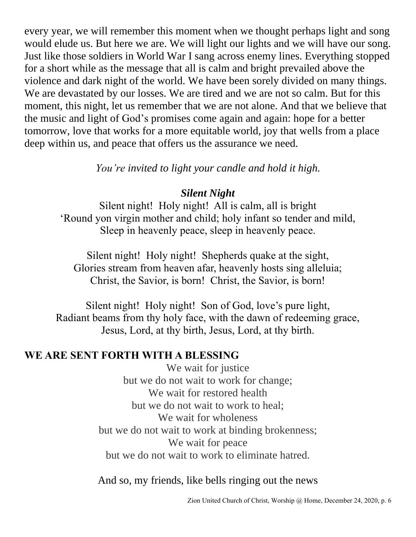every year, we will remember this moment when we thought perhaps light and song would elude us. But here we are. We will light our lights and we will have our song. Just like those soldiers in World War I sang across enemy lines. Everything stopped for a short while as the message that all is calm and bright prevailed above the violence and dark night of the world. We have been sorely divided on many things. We are devastated by our losses. We are tired and we are not so calm. But for this moment, this night, let us remember that we are not alone. And that we believe that the music and light of God's promises come again and again: hope for a better tomorrow, love that works for a more equitable world, joy that wells from a place deep within us, and peace that offers us the assurance we need.

*You're invited to light your candle and hold it high.*

## *Silent Night*

Silent night! Holy night! All is calm, all is bright 'Round yon virgin mother and child; holy infant so tender and mild, Sleep in heavenly peace, sleep in heavenly peace.

Silent night! Holy night! Shepherds quake at the sight, Glories stream from heaven afar, heavenly hosts sing alleluia; Christ, the Savior, is born! Christ, the Savior, is born!

Silent night! Holy night! Son of God, love's pure light, Radiant beams from thy holy face, with the dawn of redeeming grace, Jesus, Lord, at thy birth, Jesus, Lord, at thy birth.

# **WE ARE SENT FORTH WITH A BLESSING**

We wait for justice but we do not wait to work for change; We wait for restored health but we do not wait to work to heal; We wait for wholeness but we do not wait to work at binding brokenness; We wait for peace but we do not wait to work to eliminate hatred.

And so, my friends, like bells ringing out the news